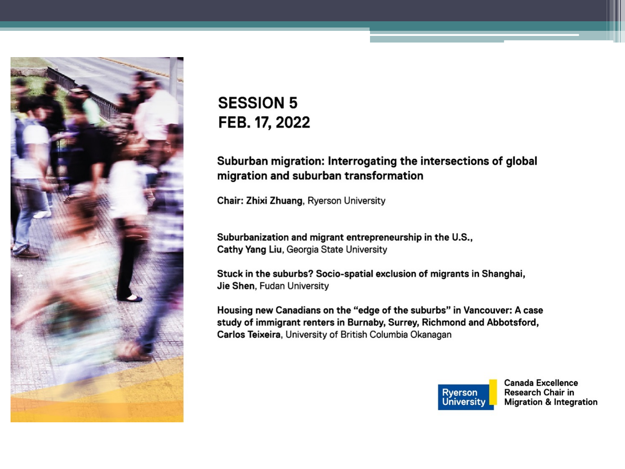

#### **SESSION 5** FEB. 17, 2022

#### Suburban migration: Interrogating the intersections of global migration and suburban transformation

Chair: Zhixi Zhuang, Ryerson University

Suburbanization and migrant entrepreneurship in the U.S., Cathy Yang Liu, Georgia State University

Stuck in the suburbs? Socio-spatial exclusion of migrants in Shanghai, Jie Shen, Fudan University

Housing new Canadians on the "edge of the suburbs" in Vancouver: A case study of immigrant renters in Burnaby, Surrey, Richmond and Abbotsford, Carlos Teixeira, University of British Columbia Okanagan



**Canada Excellence Research Chair in Migration & Integration**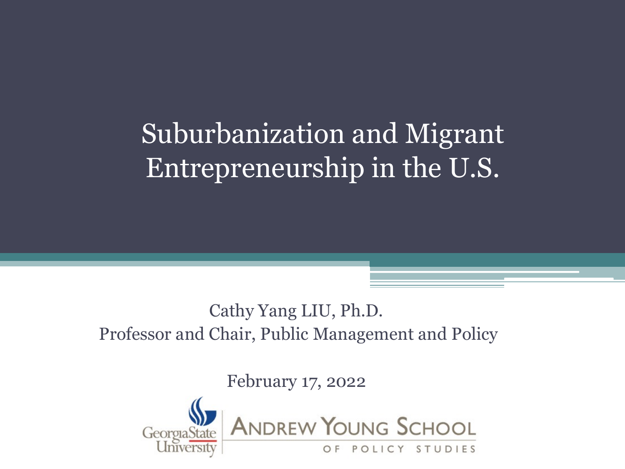### Suburbanization and Migrant Entrepreneurship in the U.S.

#### Cathy Yang LIU, Ph.D. Professor and Chair, Public Management and Policy

February 17, 2022

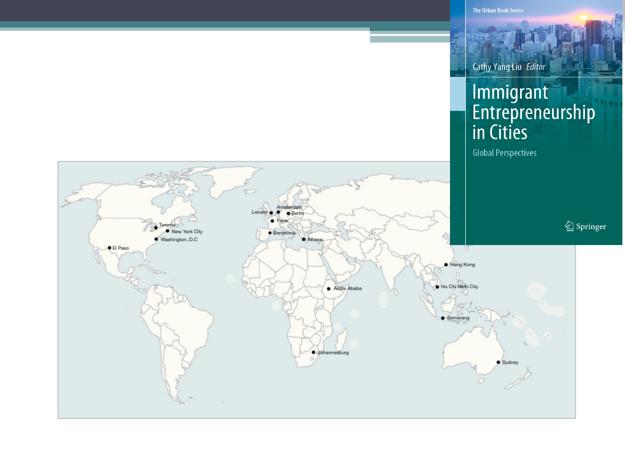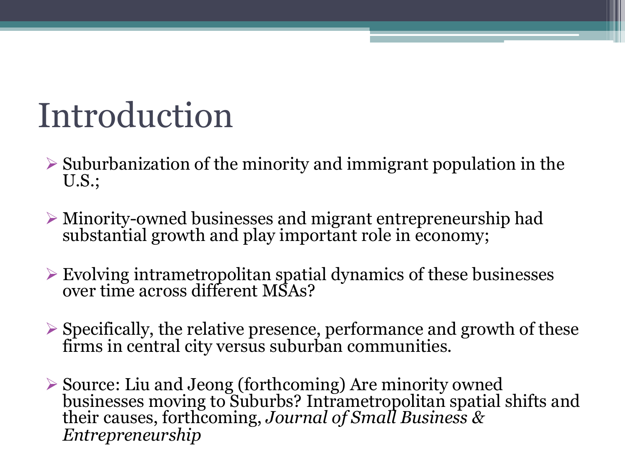## Introduction

- $\triangleright$  Suburbanization of the minority and immigrant population in the U.S.;
- $\triangleright$  Minority-owned businesses and migrant entrepreneurship had substantial growth and play important role in economy;
- $\triangleright$  Evolving intrametropolitan spatial dynamics of these businesses over time across different MSAs?
- $\triangleright$  Specifically, the relative presence, performance and growth of these firms in central city versus suburban communities.
- <sup>Ø</sup> Source: Liu and Jeong (forthcoming) Are minority owned businesses moving to Suburbs? Intrametropolitan spatial shifts and their causes, forthcoming, *Journal of Small Business & Entrepreneurship*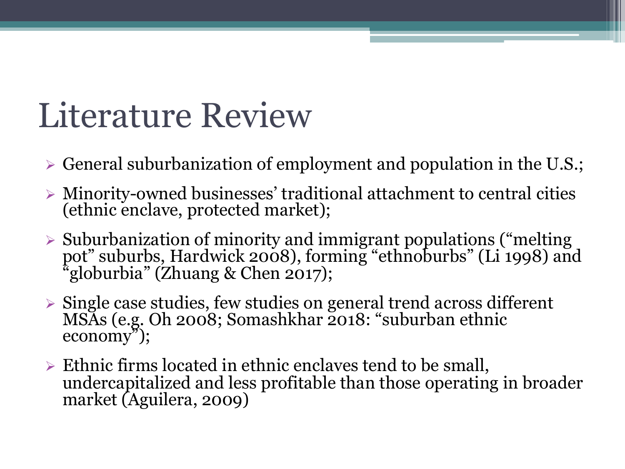### Literature Review

- $\triangleright$  General suburbanization of employment and population in the U.S.;
- $\triangleright$  Minority-owned businesses' traditional attachment to central cities (ethnic enclave, protected market);
- $\triangleright$  Suburbanization of minority and immigrant populations ("melting") pot" suburbs, Hardwick 2008), forming "ethnoburbs" (Li 1998) and "globurbia" (Zhuang & Chen 2017);
- $\triangleright$  Single case studies, few studies on general trend across different MSAs (e.g. Oh 2008; Somashkhar 2018: "suburban ethnic economy");
- $\triangleright$  Ethnic firms located in ethnic enclaves tend to be small, undercapitalized and less profitable than those operating in broader market (Aguilera, 2009)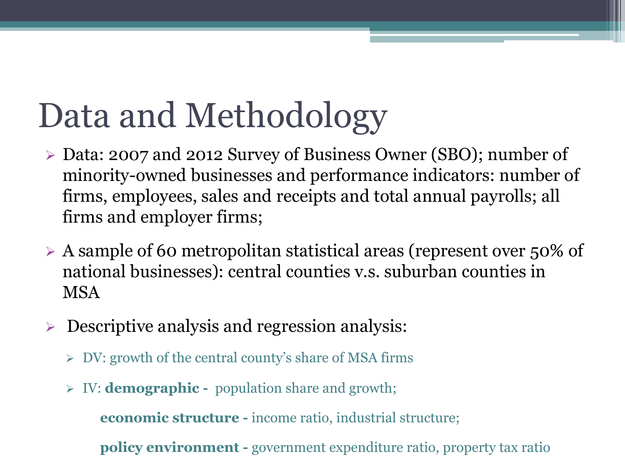# Data and Methodology

- Ø Data: 2007 and 2012 Survey of Business Owner (SBO); number of minority-owned businesses and performance indicators: number of firms, employees, sales and receipts and total annual payrolls; all firms and employer firms;
- $\triangleright$  A sample of 60 metropolitan statistical areas (represent over 50% of national businesses): central counties v.s. suburban counties in MSA
- $\triangleright$  Descriptive analysis and regression analysis:
	- $\triangleright$  DV: growth of the central county's share of MSA firms
	- Ø IV: **demographic -** population share and growth;

**economic structure -** income ratio, industrial structure;

**policy environment -** government expenditure ratio, property tax ratio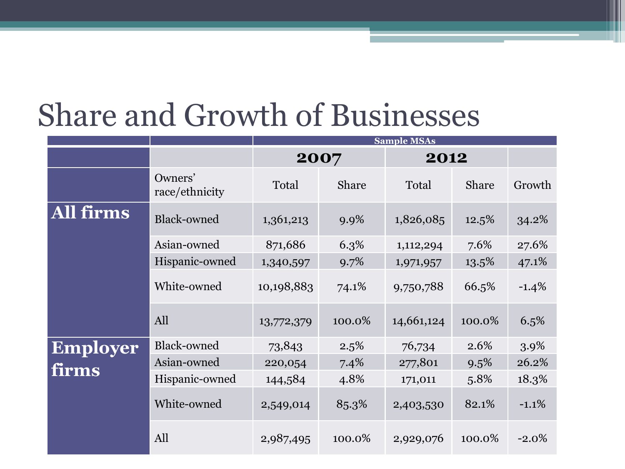### Share and Growth of Businesses

|                 |                           | <b>Sample MSAs</b> |        |            |        |          |  |  |  |
|-----------------|---------------------------|--------------------|--------|------------|--------|----------|--|--|--|
|                 |                           | 2007               |        | 2012       |        |          |  |  |  |
|                 | Owners'<br>race/ethnicity | Total              | Share  | Total      | Share  | Growth   |  |  |  |
| All firms       | <b>Black-owned</b>        | 1,361,213          | 9.9%   | 1,826,085  | 12.5%  | 34.2%    |  |  |  |
|                 | Asian-owned               | 871,686            | 6.3%   | 1,112,294  | 7.6%   | 27.6%    |  |  |  |
|                 | Hispanic-owned            | 1,340,597          | 9.7%   | 1,971,957  | 13.5%  | 47.1%    |  |  |  |
|                 | White-owned               | 10,198,883         | 74.1%  | 9,750,788  | 66.5%  | $-1.4\%$ |  |  |  |
|                 | All                       | 13,772,379         | 100.0% | 14,661,124 | 100.0% | 6.5%     |  |  |  |
| <b>Employer</b> | Black-owned               | 73,843             | 2.5%   | 76,734     | 2.6%   | 3.9%     |  |  |  |
| firms           | Asian-owned               | 220,054            | 7.4%   | 277,801    | 9.5%   | 26.2%    |  |  |  |
|                 | Hispanic-owned            | 144,584            | 4.8%   | 171,011    | 5.8%   | 18.3%    |  |  |  |
|                 | White-owned               | 2,549,014          | 85.3%  | 2,403,530  | 82.1%  | $-1.1%$  |  |  |  |
|                 | All                       | 2,987,495          | 100.0% | 2,929,076  | 100.0% | $-2.0\%$ |  |  |  |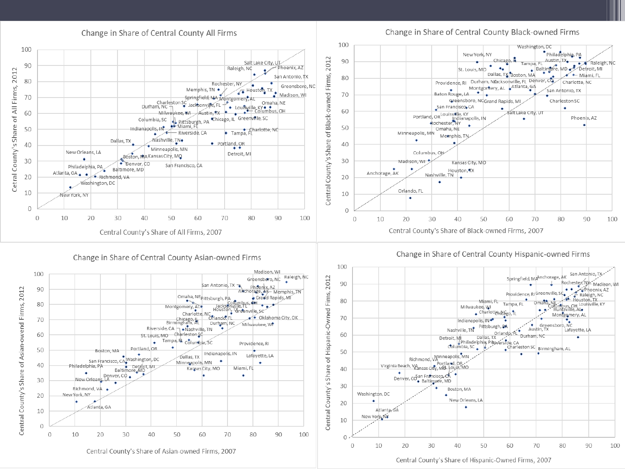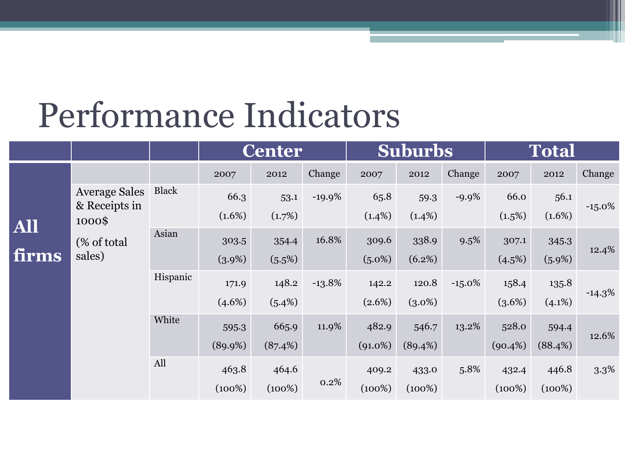### Performance Indicators

|  |                     |                                                 |              | <b>Center</b> |           | <b>Suburbs</b> |            | <b>Total</b> |           |            |           |           |
|--|---------------------|-------------------------------------------------|--------------|---------------|-----------|----------------|------------|--------------|-----------|------------|-----------|-----------|
|  |                     |                                                 |              | 2007          | 2012      | Change         | 2007       | 2012         | Change    | 2007       | 2012      | Change    |
|  | <b>All</b><br>firms | <b>Average Sales</b><br>& Receipts in<br>1000\$ | <b>Black</b> | 66.3          | 53.1      | $-19.9%$       | 65.8       | 59.3         | $-9.9\%$  | 66.0       | 56.1      | $-15.0\%$ |
|  |                     |                                                 |              | $(1.6\%)$     | (1.7%)    |                | $(1.4\%)$  | $(1.4\%)$    |           | (1.5%)     | $(1.6\%)$ |           |
|  |                     | (% of total)<br>sales)                          | Asian        | 303.5         | 354.4     | 16.8%          | 309.6      | 338.9        | 9.5%      | 307.1      | 345.3     | 12.4%     |
|  |                     |                                                 |              | $(3.9\%)$     | (5.5%)    |                | $(5.0\%)$  | (6.2%)       |           | (4.5%)     | $(5.9\%)$ |           |
|  |                     |                                                 | Hispanic     | 171.9         | 148.2     | $-13.8%$       | 142.2      | 120.8        | $-15.0\%$ | 158.4      | 135.8     |           |
|  |                     |                                                 |              | $(4.6\%)$     | (5.4%)    |                | $(2.6\%)$  | $(3.0\%)$    |           | (3.6%)     | $(4.1\%)$ | $-14.3\%$ |
|  |                     |                                                 | White        | 595.3         | 665.9     | 11.9%          | 482.9      | 546.7        | 13.2%     | 528.0      | 594.4     | 12.6%     |
|  |                     |                                                 |              | (89.9%)       | (87.4%)   |                | $(91.0\%)$ | (89.4%)      |           | $(90.4\%)$ | (88.4%)   |           |
|  |                     |                                                 | All          | 463.8         | 464.6     |                | 409.2      | 433.0        | 5.8%      | 432.4      | 446.8     | 3.3%      |
|  |                     |                                                 |              | $(100\%)$     | $(100\%)$ | 0.2%           | (100%)     | $(100\%)$    |           | $(100\%)$  | $(100\%)$ |           |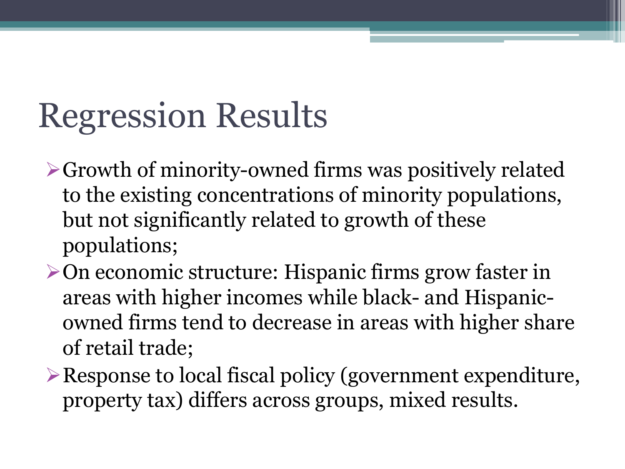## Regression Results

- $\triangleright$  Growth of minority-owned firms was positively related to the existing concentrations of minority populations, but not significantly related to growth of these populations;
- $\triangleright$  On economic structure: Hispanic firms grow faster in areas with higher incomes while black- and Hispanicowned firms tend to decrease in areas with higher share of retail trade;
- $\triangleright$  Response to local fiscal policy (government expenditure, property tax) differs across groups, mixed results.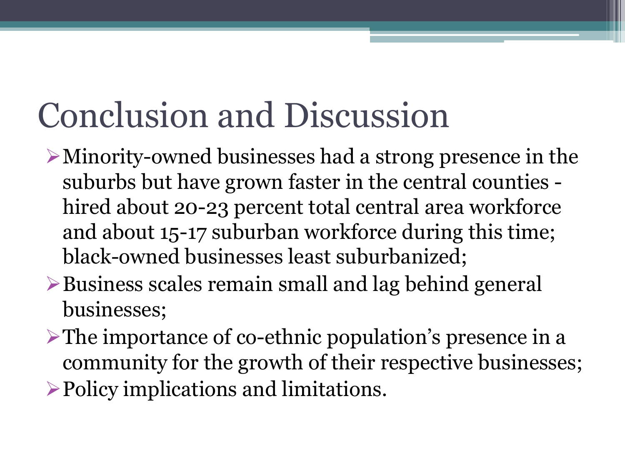## Conclusion and Discussion

- $\triangleright$  Minority-owned businesses had a strong presence in the suburbs but have grown faster in the central counties hired about 20-23 percent total central area workforce and about 15-17 suburban workforce during this time; black-owned businesses least suburbanized;
- $\triangleright$  Business scales remain small and lag behind general businesses;
- $\triangleright$  The importance of co-ethnic population's presence in a community for the growth of their respective businesses;
- $\triangleright$  Policy implications and limitations.